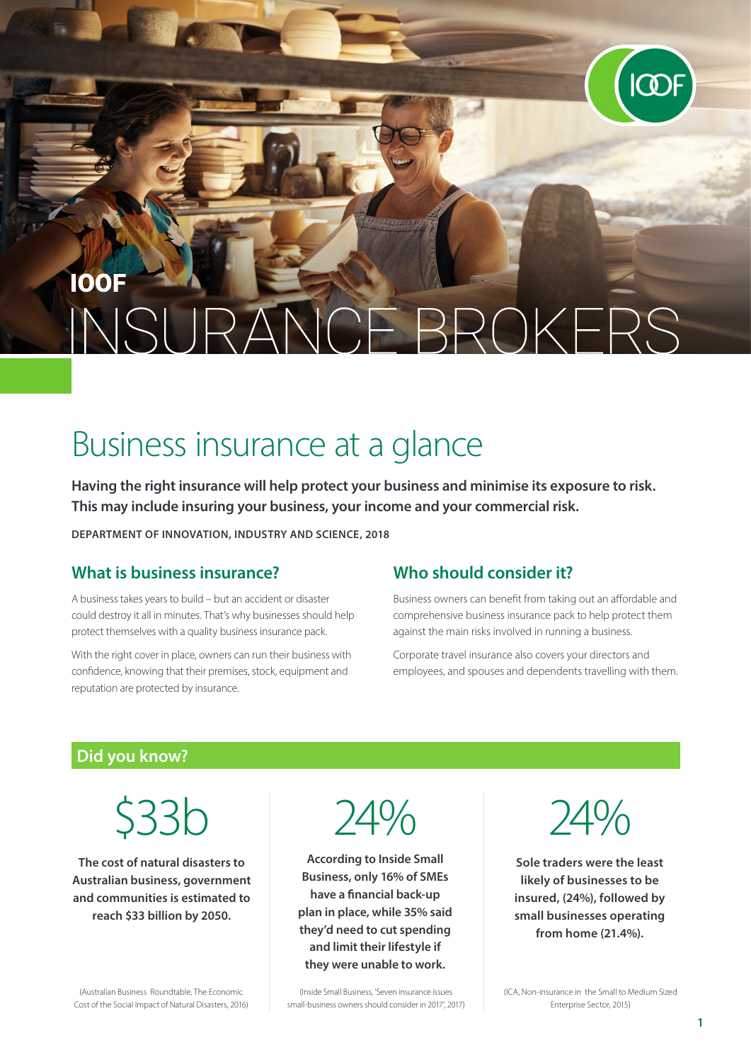## **IOOF** ANCE BROKERS  $NQ$

# Business insurance at a glance

**Having the right insurance will help protect your business and minimise its exposure to risk. This may include insuring your business, your income and your commercial risk.**

**DEPARTMENT OF INNOVATION, INDUSTRY AND SCIENCE, 2018**

#### **What is business insurance?**

A business takes years to build – but an accident or disaster could destroy it all in minutes. That's why businesses should help protect themselves with a quality business insurance pack.

With the right cover in place, owners can run their business with confidence, knowing that their premises, stock, equipment and reputation are protected by insurance.

#### **Who should consider it?**

Business owners can benefit from taking out an affordable and comprehensive business insurance pack to help protect them against the main risks involved in running a business.

Corporate travel insurance also covers your directors and employees, and spouses and dependents travelling with them.

#### **Did you know?**

\$33b

**The cost of natural disasters to Australian business, government and communities is estimated to reach \$33 billion by 2050.** 

Cost of the Social Impact of Natural Disasters, 2016)

(Australian Business Roundtable, The Economic

24%

**According to Inside Small Business, only 16% of SMEs have a financial back-up plan in place, while 35% said they'd need to cut spending and limit their lifestyle if they were unable to work.**

(Inside Small Business, 'Seven insurance issues small-business owners should consider in 2017', 2017) 24%

**Sole traders were the least likely of businesses to be insured, (24%), followed by small businesses operating from home (21.4%).** 

(ICA, Non-insurance in the Small to Medium Sized Enterprise Sector, 2015)

**1**